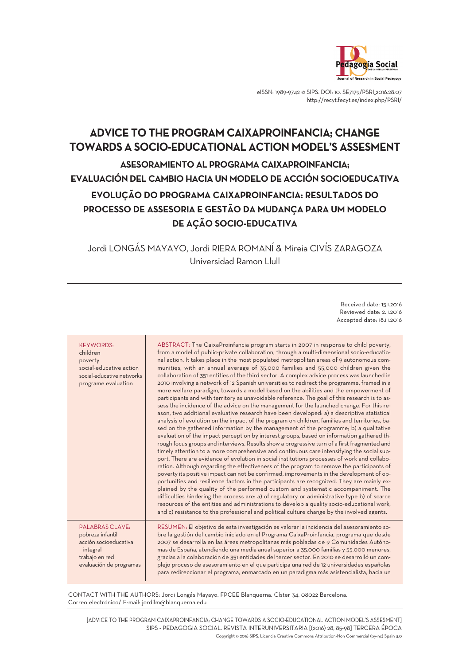

eISSN: 1989-9742 © SIPS. DOI: 10. SE7179/PSRI 2016.28.07 http://recyt.fecyt.es/index.php/PSRI/

# **ADVICE TO THE PROGRAM CAIXAPROINFANCIA; CHANGE TOWARDS A SOCIO-EDUCATIONAL ACTION MODEL'S ASSESMENT ASESORAMIENTO AL PROGRAMA CAIXAPROINFANCIA; EVALUACIÓN DEL CAMBIO HACIA UN MODELO DE ACCIÓN SOCIOEDUCATIVA EVOLUÇÃO DO PROGRAMA CAIXAPROINFANCIA: RESULTADOS DO PROCESSO DE ASSESORIA E GESTÃO DA MUDANÇA PARA UM MODELO DE AÇÃO SOCIO-EDUCATIVA**

Jordi LONGÁS MAYAYO, Jordi RIERA ROMANÍ & Mireia CIVÍS ZARAGOZA Universidad Ramon Llull

> Received date: 15.I.2016 Reviewed date: 2.II.2016 Accepted date: 18.III.2016

| <b>KEYWORDS:</b><br>children<br>poverty<br>social-educative action<br>social-educative networks<br>programe evaluation       | ABSTRACT: The CaixaProinfancia program starts in 2007 in response to child poverty,<br>from a model of public-private collaboration, through a multi-dimensional socio-educatio-<br>nal action. It takes place in the most populated metropolitan areas of 9 autonomous com-<br>munities, with an annual average of 35,000 families and 55,000 children given the<br>collaboration of 351 entities of the third sector. A complex advice process was launched in<br>2010 involving a network of 12 Spanish universities to redirect the programme, framed in a<br>more welfare paradigm, towards a model based on the abilities and the empowerment of<br>participants and with territory as unavoidable reference. The goal of this research is to as-<br>sess the incidence of the advice on the management for the launched change. For this re-<br>ason, two additional evaluative research have been developed: a) a descriptive statistical<br>analysis of evolution on the impact of the program on children, families and territories, ba-<br>sed on the gathered information by the management of the programme; b) a qualitative<br>evaluation of the impact perception by interest groups, based on information gathered th-<br>rough focus groups and interviews. Results show a progressive turn of a first fragmented and<br>timely attention to a more comprehensive and continuous care intensifying the social sup-<br>port. There are evidence of evolution in social institutions processes of work and collabo-<br>ration. Although regarding the effectiveness of the program to remove the participants of<br>poverty its positive impact can not be confirmed, improvements in the development of op-<br>portunities and resilience factors in the participants are recognized. They are mainly ex-<br>plained by the quality of the performed custom and systematic accompaniment. The<br>difficulties hindering the process are: a) of regulatory or administrative type b) of scarce<br>resources of the entities and administrations to develop a quality socio-educational work,<br>and c) resistance to the professional and political culture change by the involved agents. |
|------------------------------------------------------------------------------------------------------------------------------|------------------------------------------------------------------------------------------------------------------------------------------------------------------------------------------------------------------------------------------------------------------------------------------------------------------------------------------------------------------------------------------------------------------------------------------------------------------------------------------------------------------------------------------------------------------------------------------------------------------------------------------------------------------------------------------------------------------------------------------------------------------------------------------------------------------------------------------------------------------------------------------------------------------------------------------------------------------------------------------------------------------------------------------------------------------------------------------------------------------------------------------------------------------------------------------------------------------------------------------------------------------------------------------------------------------------------------------------------------------------------------------------------------------------------------------------------------------------------------------------------------------------------------------------------------------------------------------------------------------------------------------------------------------------------------------------------------------------------------------------------------------------------------------------------------------------------------------------------------------------------------------------------------------------------------------------------------------------------------------------------------------------------------------------------------------------------------------------------------------------------------------------------------------------------------------------------------|
| <b>PALABRAS CLAVE:</b><br>pobreza infantil<br>acción socioeducativa<br>integral<br>trabajo en red<br>evaluación de programas | RESUMEN: El objetivo de esta investigación es valorar la incidencia del asesoramiento so-<br>bre la gestión del cambio iniciado en el Programa CaixaProinfancia, programa que desde<br>2007 se desarrolla en las áreas metropolitanas más pobladas de 9 Comunidades Autóno-<br>mas de España, atendiendo una media anual superior a 35.000 familias y 55.000 menores,<br>gracias a la colaboración de 351 entidades del tercer sector. En 2010 se desarrolló un com-<br>plejo proceso de asesoramiento en el que participa una red de 12 universidades españolas<br>para redireccionar el programa, enmarcado en un paradigma más asistencialista, hacia un                                                                                                                                                                                                                                                                                                                                                                                                                                                                                                                                                                                                                                                                                                                                                                                                                                                                                                                                                                                                                                                                                                                                                                                                                                                                                                                                                                                                                                                                                                                                                |

CONTACT WITH THE AUTHORS: Jordi Longás Mayayo. FPCEE Blanquerna. Císter 34. 08022 Barcelona. Correo electrónico/ E-mail: jordilm@blanquerna.edu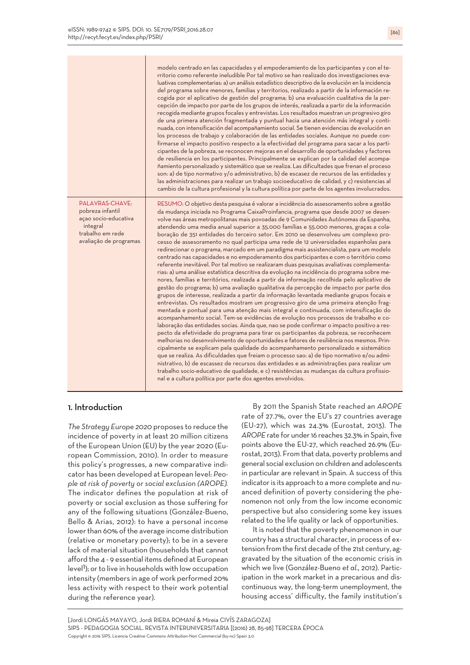|                                                                                                                       | modelo centrado en las capacidades y el empoderamiento de los participantes y con el te-<br>rritorio como referente ineludible Por tal motivo se han realizado dos investigaciones eva-<br>luativas complementarias: a) un análisis estadístico descriptivo de la evolución en la incidencia<br>del programa sobre menores, familias y territorios, realizado a partir de la información re-<br>cogida por el aplicativo de gestión del programa; b) una evaluación cualitativa de la per-<br>cepción de impacto por parte de los grupos de interés, realizada a partir de la información<br>recogida mediante grupos focales y entrevistas. Los resultados muestran un progresivo giro<br>de una primera atención fragmentada y puntual hacia una atención más integral y conti-<br>nuada, con intensificación del acompañamiento social. Se tienen evidencias de evolución en<br>los procesos de trabajo y colaboración de las entidades sociales. Aunque no puede con-<br>firmarse el impacto positivo respecto a la efectividad del programa para sacar a los parti-<br>cipantes de la pobreza, se reconocen mejoras en el desarrollo de oportunidades y factores<br>de resiliencia en los participantes. Principalmente se explican por la calidad del acompa-<br>ñamiento personalizado y sistemático que se realiza. Las dificultades que frenan el proceso<br>son: a) de tipo normativo y/o administrativo, b) de escasez de recursos de las entidades y<br>las administraciones para realizar un trabajo socioeducativo de calidad, y c) resistencias al<br>cambio de la cultura profesional y la cultura política por parte de los agentes involucrados.                                                                                                                                                                                                                                                                                                                                                                                                                                                                                                                                                              |
|-----------------------------------------------------------------------------------------------------------------------|---------------------------------------------------------------------------------------------------------------------------------------------------------------------------------------------------------------------------------------------------------------------------------------------------------------------------------------------------------------------------------------------------------------------------------------------------------------------------------------------------------------------------------------------------------------------------------------------------------------------------------------------------------------------------------------------------------------------------------------------------------------------------------------------------------------------------------------------------------------------------------------------------------------------------------------------------------------------------------------------------------------------------------------------------------------------------------------------------------------------------------------------------------------------------------------------------------------------------------------------------------------------------------------------------------------------------------------------------------------------------------------------------------------------------------------------------------------------------------------------------------------------------------------------------------------------------------------------------------------------------------------------------------------------------------------------------------------------------------------------------------------------------------------------------------------------------------------------------------------------------------------------------------------------------------------------------------------------------------------------------------------------------------------------------------------------------------------------------------------------------------------------------------------------------------------------------------------------------------|
| PALAVRAS-CHAVE:<br>pobreza infantil<br>açao socio-educativa<br>integral<br>trabalho em rede<br>avaliação de programas | RESUMO: O objetivo desta pesquisa é valorar a incidência do assesoramento sobre a gestão<br>da mudança iniciada no Programa CaixaProinfancia, programa que desde 2007 se desen-<br>volve nas áreas metropolitanas mais povoadas de 9 Comunidades Autónomas da Espanha,<br>atendendo uma media anual superior a 35.000 famílias e 55.000 menores, graças a cola-<br>boração de 351 entidades do terceiro setor. Em 2010 se desenvolveu um complexo pro-<br>cesso de assesoramento no qual participa uma rede de 12 universidades espanholas para<br>redirecionar o programa, marcado em um paradigma mais assistencialista, para um modelo<br>centrado nas capacidades e no empoderamento dos participantes e com o território como<br>referente inevitável. Por tal motivo se realizaram duas pesquisas avaliativas complementa-<br>rias: a) uma análise estatística descritiva da evolução na incidência do programa sobre me-<br>nores, famílias e territórios, realizada a partir da informação recolhida pelo aplicativo de<br>gestão do programa; b) uma avaliação qualitativa da percepção de impacto por parte dos<br>grupos de interesse, realizada a partir da informação levantada mediante grupos focais e<br>entrevistas. Os resultados mostram um progressivo giro de uma primeira atenção frag-<br>mentada e pontual para uma atenção mais integral e continuada, com intensificação do<br>acompanhamento social. Tem-se evidências de evolução nos processos de trabalho e co-<br>laboração das entidades socias. Ainda que, nao se pode confirmar o impacto positivo a res-<br>pecto da efetividade do programa para tirar os participantes da pobreza, se reconhecem<br>melhorias no desenvolvimento de oportunidades e fatores de resiliência nos mesmos. Prin-<br>cipalmente se explicam pela qualidade do acompanhamento personalizado e sistemático<br>que se realiza. As dificuldades que freiam o processo sao: a) de tipo normativo e/ou admi-<br>nistrativo, b) de escassez de recursos das entidades e as administrações para realizar um<br>trabalho socio-educativo de qualidade, e c) resistências as mudanças da cultura profissio-<br>nal e a cultura política por parte dos agentes envolvidos. |

# 1. Introduction

*The Strategy Europe 2020* proposes to reduce the incidence of poverty in at least 20 million citizens of the European Union (EU) by the year 2020 (European Commission, 2010). In order to measure this policy's progresses, a new comparative indicator has been developed at European level: *People at risk of poverty or social exclusion (AROPE).* The indicator defines the population at risk of poverty or social exclusion as those suffering for any of the following situations (González-Bueno, Bello & Arias, 2012): to have a personal income lower than 60% of the average income distribution (relative or monetary poverty); to be in a severe lack of material situation (households that cannot afford the 4 - 9 essential items defined at European anord the 4 - 9 essemantems defined at Earopean<br>level<sup>1</sup>): or to live in households with low occupation intensity (members in age of work performed 20% less activity with respect to their work potential during the reference year).

By 2011 the Spanish State reached an *AROPE* rate of 27.7%, over the EU's 27 countries average (EU-27), which was 24.3% (Eurostat, 2013). The *AROPE* rate for under16 reaches 32.3% in Spain,five points above the EU-27, which reached 26.9% (Eurostat, 2013). From that data, poverty problems and general social exclusion on children and adolescents in particular are relevant in Spain. A success of this indicator is its approach to a more complete and nuanced definition of poverty considering the phenomenon not only from the low income economic perspective but also considering some key issues related to the life quality or lack of opportunities.

It is noted that the poverty phenomenon in our country has a structural character, in process of extension from the first decade of the 21st century, aggravated by the situation of the economic crisis in which we live (González-Bueno *et al*., 2012). Participation in the work market in a precarious and discontinuous way, the long-term unemployment, the housing access' difficulty, the family institution's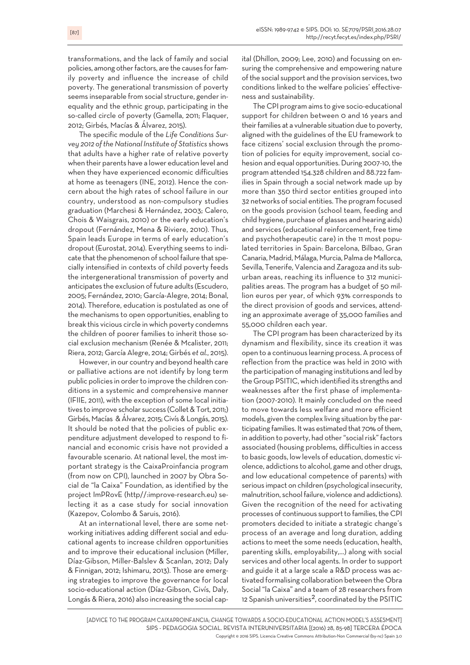transformations, and the lack of family and social policies, among other factors, are the causes for family poverty and influence the increase of child poverty. The generational transmission of poverty seems inseparable from social structure, gender inequality and the ethnic group, participating in the so-called circle of poverty (Gamella, 2011; Flaquer, 2012; Girbés, Macías & Álvarez, 2015).

The specific module of the *Life Conditions Survey* 2012 of the National Institute of Statistics shows that adults have a higher rate of relative poverty when their parents have a lower education level and when they have experienced economic difficulties at home as teenagers (INE, 2012). Hence the concern about the high rates of school failure in our country, understood as non-compulsory studies graduation (Marchesi & Hernández, 2003; Calero, Chois & Waisgrais, 2010) or the early education's dropout (Fernández, Mena & Riviere, 2010). Thus, Spain leads Europe in terms of early education's dropout (Eurostat, 2014). Everything seems to indicate that the phenomenon of school failure that specially intensified in contexts of child poverty feeds the intergenerational transmission of poverty and anticipates the exclusion of future adults (Escudero, 2005; Fernández, 2010; García-Alegre, 2014; Bonal, 2014). Therefore, education is postulated as one of the mechanisms to open opportunities, enabling to break this vicious circle in which poverty condemns the children of poorer families to inherit those social exclusion mechanism (Renée & Mcalister, 2011; Riera, 2012; García Alegre, 2014; Girbés *et al.*, 2015).

However, in our country and beyond health care or palliative actions are not identify by long term public policies in order to improve the children conditions in a systemic and comprehensive manner (IFIIE, 2011), with the exception of some local initiatives to improve scholar success (Collet&Tort, 2011;) Girbés, Macías & Álvarez, 2015; Civís & Longás, 2015). It should be noted that the policies of public expenditure adjustment developed to respond to financial and economic crisis have not provided a favourable scenario. At national level, the most important strategy is the CaixaProinfancia program (from now on CPI), launched in 2007 by Obra Social de "la Caixa" Foundation, as identified by the project ImPRovE (http//:improve-research.eu) selecting it as a case study for social innovation (Kazepov, Colombo & Saruis, 2016).

At an international level, there are some networking initiatives adding different social and educational agents to increase children opportunities and to improve their educational inclusion (Miller, Díaz-Gibson, Miller-Balslev & Scanlan, 2012; Daly & Finnigan, 2012; Ishimaru, 2013). Those are emerging strategies to improve the governance for local socio-educational action (Díaz-Gibson, Civís, Daly, Longás & Riera, 2016) also increasing the social capital (Dhillon, 2009; Lee, 2010) and focussing on ensuring the comprehensive and empowering nature of the social support and the provision services, two conditions linked to the welfare policies' effectiveness and sustainability.

The CPI program aims to give socio-educational support for children between 0 and 16 years and their families at a vulnerable situation due to poverty, aligned with the guidelines of the EU framework to face citizens' social exclusion through the promotion of policies for equity improvement, social cohesion and equal opportunities. During 2007-10, the program attended 154.328 children and 88.722 families in Spain through a social network made up by more than 350 third sector entities grouped into 32 networks of social entities. The program focused on the goods provision (school team, feeding and child hygiene, purchase of glasses and hearing aids) and services (educational reinforcement, free time and psychotherapeutic care) in the 11 most populated territories in Spain: Barcelona, Bilbao, Gran Canaria, Madrid, Málaga, Murcia, Palma de Mallorca, Sevilla, Tenerife, Valencia and Zaragoza and its suburban areas, reaching its influence to 312 municipalities areas. The program has a budget of 50 million euros per year, of which 93% corresponds to the direct provision of goods and services, attending an approximate average of 35,000 families and 55,000 children each year.

The CPI program has been characterized by its dynamism and flexibility, since its creation it was open to a continuous learning process.Aprocess of reflection from the practice was held in 2010 with the participation of managing institutions and led by the Group PSITIC,which identified its strengths and weaknesses after the first phase of implementation (2007-2010). It mainly concluded on the need to move towards less welfare and more efficient models, given the complex living situation by the participating families. It was estimated that 70% of them, in addition to poverty, had other "social risk" factors associated (housing problems, difficulties in access to basic goods, lowlevels of education, domestic violence, addictions to alcohol, game and other drugs, and low educational competence of parents) with serious impact on children (psychological insecurity, malnutrition, school failure, violence and addictions). Given the recognition of the need for activating processes of continuous support to families, the CPI promoters decided to initiate a strategic change's process of an average and long duration, adding actions to meet the some needs (education, health, parenting skills, employability,...) along with social services and other local agents. In order to support and guide it at a large scale a R&D process was activated formalising collaboration between the Obra Social "la Caixa" and a team of 28 researchers from 12 Spanish universities<sup>2</sup>, coordinated by the PSITIC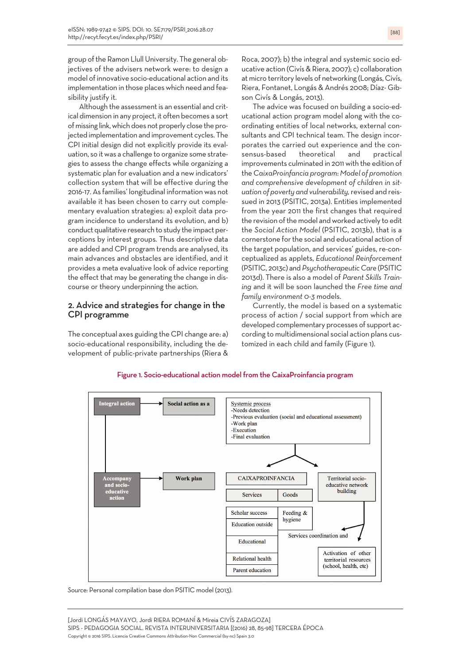group of the Ramon Llull University. The general objectives of the advisers network were: to design a model of innovative socio-educational action and its implementation in those placeswhich need and feasibility justify it.

Although the assessment is an essential and critical dimension in any project, it often becomes a sort of missing link, which does not properly close the projected implementation and improvement cycles. The CPI initial design did not explicitly provide its evaluation, so itwas a challenge to organize some strategies to assess the change effects while organizing a systematic plan for evaluation and a new indicators' collection system that will be effective during the 2016-17.As families' longitudinal informationwas not available it has been chosen to carry out complementary evaluation strategies: a) exploit data program incidence to understand its evolution, and b) conduct qualitative research to study the impact perceptions by interest groups. Thus descriptive data are added and CPI program trends are analysed, its main advances and obstacles are identified, and it provides a meta evaluative look of advice reporting the effect that may be generating the change in discourse or theory underpinning the action.

# 2. Advice and strategies for change in the CPI programme

The conceptual axes guiding the CPI change are: a) socio-educational responsibility, including the development of public-private partnerships (Riera &

Roca, 2007); b) the integral and systemic socio educative action (Civís&Riera, 2007); c) collaboration at micro territory levels of networking (Longás, Civís, Riera, Fontanet, Longás & Andrés 2008; Díaz- Gibson Civís & Longás, 2013).

The advice was focused on building a socio-educational action program model along with the coordinating entities of local networks, external consultants and CPI technical team. The design incorporates the carried out experience and the consensus-based theoretical and practical improvements culminated in 2011 with the edition of the *CaixaProinfancia program*: *Model of promotion and comprehensive development of children in situation of poverty and vulnerability,*revised and reissued in 2013 (PSITIC, 2013a). Entities implemented from the year 2011 the first changes that required the revision of the model and worked actively to edit the *Social Action Model* (PSITIC, 2013b), that is a cornerstone forthe social and educational action of the target population, and services' guides, re-conceptualized as applets, *Educational Reinforcement* (PSITIC, 2013c) and *Psychotherapeutic Care* (PSITIC 2013d). There is also a model of *Parent Skills Training* and it will be soon launched the *Free time and family environment 0-3* models.

Currently, the model is based on a systematic process of action / social support from which are developed complementary processes of support according to multidimensional social action plans customized in each child and family (Figure 1).



Figure 1. Socio-educational action model from the CaixaProinfancia program

*Source:* Personal compilation base don PSITIC model (2013).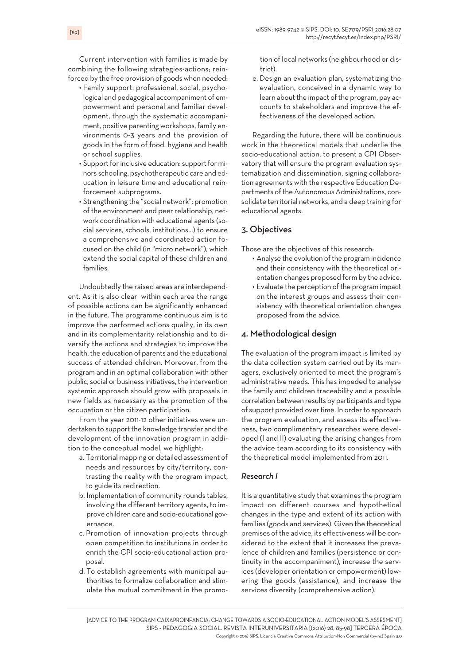Current intervention with families is made by combining the following strategies-actions; reinforced by the free provision of goods when needed:

- Family support: professional, social, psychological and pedagogical accompaniment of empowerment and personal and familiar development, through the systematic accompaniment, positive parentingworkshops, family environments 0-3 years and the provision of goods in the form of food, hygiene and health or school supplies.
- Support for inclusive education: support for minors schooling, psychotherapeutic care and education in leisure time and educational reinforcement subprograms.
- Strengthening the "social network": promotion of the environment and peerrelationship, network coordination with educational agents (social services, schools, institutions...) to ensure a comprehensive and coordinated action focused on the child (in "micro network"), which extend the social capital of these children and families.

Undoubtedly the raised areas are interdependent. As it is also clear within each area the range of possible actions can be significantly enhanced in the future. The programme continuous aim is to improve the performed actions quality, in its own and in its complementarity relationship and to diversify the actions and strategies to improve the health, the education of parents and the educational success of attended children. Moreover, from the program and in an optimal collaboration with other public, social or business initiatives, the intervention systemic approach should grow with proposals in new fields as necessary as the promotion of the occupation or the citizen participation.

From the year 2011-12 other initiatives were undertaken to support the knowledge transfer and the development of the innovation program in addition to the conceptual model, we highlight:

- a. Territorial mapping or detailed assessment of needs and resources by city/territory, contrasting the reality with the program impact, to guide its redirection.
- b. Implementation of community rounds tables, involving the different territory agents, to improve children care and socio-educational governance.
- c. Promotion of innovation projects through open competition to institutions in order to enrich the CPI socio-educational action proposal.
- d. To establish agreements with municipal authorities to formalize collaboration and stimulate the mutual commitment in the promo-

tion of local networks (neighbourhood or district).

e. Design an evaluation plan, systematizing the evaluation, conceived in a dynamic way to learn about the impact of the program, pay accounts to stakeholders and improve the effectiveness of the developed action.

Regarding the future, there will be continuous work in the theoretical models that underlie the socio-educational action, to present a CPI Observatory that will ensure the program evaluation systematization and dissemination, signing collaboration agreements with the respective Education Departments of the Autonomous Administrations, consolidate territorial networks, and a deep training for educational agents.

# 3. Objectives

Those are the objectives of this research:

- Analyse the evolution of the program incidence and their consistency with the theoretical orientation changes proposed form by the advice.
- Evaluate the perception of the program impact on the interest groups and assess their consistency with theoretical orientation changes proposed from the advice.

## 4. Methodological design

The evaluation of the program impact is limited by the data collection system carried out by its managers, exclusively oriented to meet the program's administrative needs. This has impeded to analyse the family and children traceability and a possible correlation between results by participants and type of support provided over time. In order to approach the program evaluation, and assess its effectiveness, two complimentary researches were developed (I and II) evaluating the arising changes from the advice team according to its consistency with the theoretical model implemented from 2011.

## *Research I*

It is a quantitative study that examines the program impact on different courses and hypothetical changes in the type and extent of its action with families (goods and services). Given the theoretical premises of the advice, its effectiveness will be considered to the extent that it increases the prevalence of children and families (persistence or continuity in the accompaniment), increase the services (developer orientation or empowerment) lowering the goods (assistance), and increase the services diversity (comprehensive action).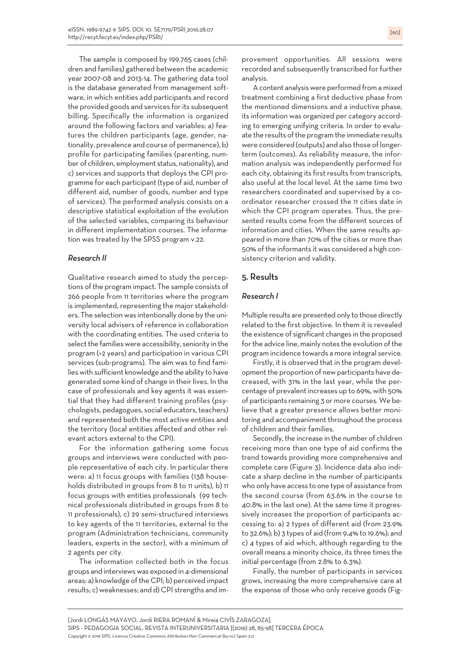The sample is composed by 199.765 cases (children and families) gathered between the academic year 2007-08 and 2013-14. The gathering data tool is the database generated from management software, in which entities add participants and record the provided goods and services forits subsequent billing. Specifically the information is organized around the following factors and variables: a) features the children participants (age, gender, nationality, prevalence and course of permanence), b) profile for participating families (parenting, number of children, employment status, nationality), and c) services and supports that deploys the CPI programme for each participant(type of aid, number of different aid, number of goods, number and type of services). The performed analysis consists on a descriptive statistical exploitation of the evolution of the selected variables, comparing its behaviour in different implementation courses. The information was treated by the SPSS program v.22.

## *Research II*

Qualitative research aimed to study the perceptions of the program impact. The sample consists of 266 people from 11 territories where the program is implemented, representing the major stakeholders. The selection was intentionally done by the university local advisers of reference in collaboration with the coordinating entities. The used criteria to select the families were accessibility, seniority in the program (>2 years) and participation in various CPI services (sub-programs). The aim was to find families with sufficient knowledge and the ability to have generated some kind of change in their lives. In the case of professionals and key agents it was essential that they had different training profiles (psychologists, pedagogues, social educators, teachers) and represented both the most active entities and the territory (local entities affected and other relevant actors external to the CPI).

For the information gathering some focus groups and interviews were conducted with people representative of each city. In particular there were: a) 11 focus groups with families (138 households distributed in groups from 8 to 11 units), b) 11 focus groups with entities professionals (99 technical professionals distributed in groups from 8 to 11 professionals), c) 29 semi-structured interviews to key agents of the 11 territories, external to the program (Administration technicians, community leaders, experts in the sector), with a minimum of 2 agents per city.

The information collected both in the focus groups and interviewswas exposed in 4-dimensional areas: a) knowledge of the CPI; b) perceived impact results; c) weaknesses; and d) CPI strengths and improvement opportunities. All sessions were recorded and subsequently transcribed for further analysis.

Acontent analysiswere performed from a mixed treatment combining a first deductive phase from the mentioned dimensions and a inductive phase, its information was organized per category according to emerging unifying criteria. In order to evaluate the results of the program the immediate results were considered (outputs) and also those of longerterm (outcomes). As reliability measure, the information analysis was independently performed for each city, obtaining its first results from transcripts, also useful at the local level. At the same time two researchers coordinated and supervised by a coordinator researcher crossed the 11 cities date in which the CPI program operates. Thus, the presented results come from the different sources of information and cities. When the same results appeared in more than 70% of the cities or more than 50% of the informants it was considered a high consistency criterion and validity.

## 5. Results

## *Research I*

Multiple results are presented only to those directly related to the first objective. In them it is revealed the existence of significant changes in the proposed for the advice line, mainly notes the evolution of the program incidence towards a more integral service.

Firstly, it is observed that in the program development the proportion of new participants have decreased, with 31% in the last year, while the percentage of prevalent increases up to 69%, with 50% of participants remaining 3 or more courses. We believe that a greater presence allows better monitoring and accompaniment throughout the process of children and their families.

Secondly, the increase in the number of children receiving more than one type of aid confirms the trend towards providing more comprehensive and complete care (Figure 3). Incidence data also indicate a sharp decline in the number of participants who only have access to one type of assistance from the second course (from 63.6% in the course to 40.8% in the last one). At the same time it progressively increases the proportion of participants accessing to: a) 2 types of different aid (from 23.9% to 32.6%); b) 3 types of aid (from 9.4% to 19.6%); and c) 4 types of aid which, although regarding to the overall means a minority choice, its three times the initial percentage (from 2.8% to 6.3%).

Finally, the number of participants in services grows, increasing the more comprehensive care at the expense of those who only receive goods (Fig-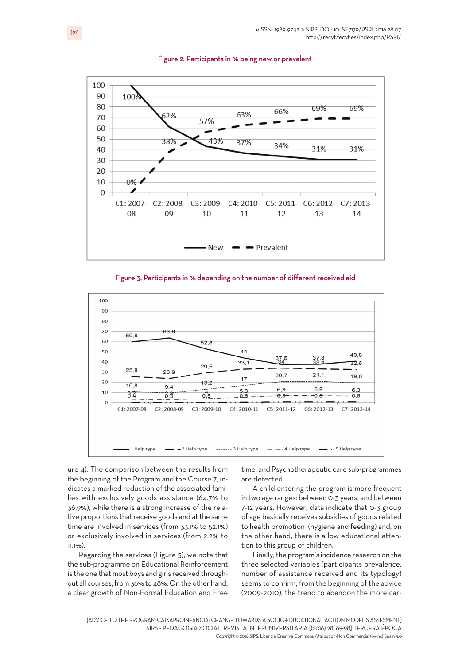







ure 4). The comparison between the results from the beginning of the Program and the Course 7, indicates a marked reduction of the associated families with exclusively goods assistance (64.7% to 36.9%), while there is a strong increase of the relative proportions that receive goods and at the same time are involved in services (from 33.1% to 52.1%) or exclusively involved in services (from 2.2% to 11.1%).

Regarding the services (Figure 5), we note that the sub-programme on Educational Reinforcement is the one that most boys and girls received throughout all courses, from 36% to 48%. On the other hand, a clear growth of Non-Formal Education and Free

time, and Psychotherapeutic care sub-programmes are detected.

A child entering the program is more frequent in two age ranges: between 0-3 years, and between 7-12 years. However, data indicate that 0-3 group of age basically receives subsidies of goods related to health promotion (hygiene and feeding) and, on the other hand, there is a low educational attention to this group of children.

Finally, the program's incidence research on the three selected variables (participants prevalence, number of assistance received and its typology) seems to confirm, from the beginning of the advice (2009-2010), the trend to abandon the more car-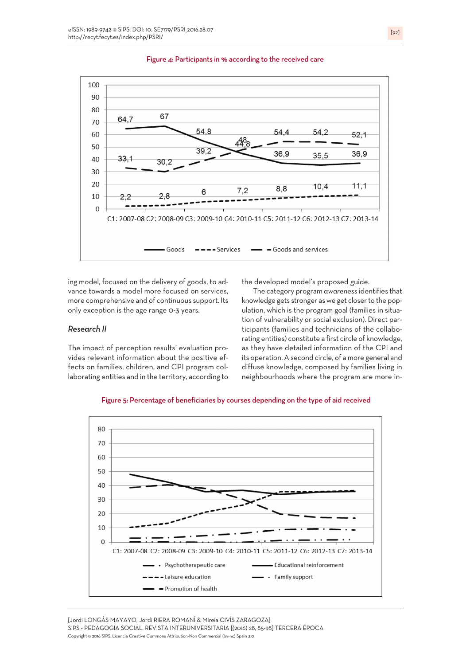

#### Figure 4: Participants in % according to the received care

ing model, focused on the delivery of goods, to advance towards a model more focused on services, more comprehensive and of continuous support. Its only exception is the age range 0-3 years.

#### *Research II*

The impact of perception results' evaluation provides relevant information about the positive effects on families, children, and CPI program collaborating entities and in the territory, according to the developed model's proposed guide.

The category program *awareness* identifies that knowledge gets stronger as we get closer to the population, which is the program goal (families in situation of vulnerability or social exclusion). Direct participants (families and technicians of the collaborating entities) constitute a first circle of knowledge, as they have detailed information of the CPI and its operation. A second circle, of a more general and diffuse knowledge, composed by families living in neighbourhoods where the program are more in-

Figure 5: Percentage of beneficiaries by courses depending on the type of aid received



[Jordi LONGÁS MAYAYO, Jordi RIERA ROMANÍ & Mireia CIVÍS ZARAGOZA] SIPS - PEDAGOGIA SOCIAL. REVISTA INTERUNIVERSITARIA [(2016) 28, 85-98] TERCERA ÉPOCA Copyright © 2016 SIPS. Licencia Creative Commons Attribution-Non Commercial (by-nc) Spain 3.0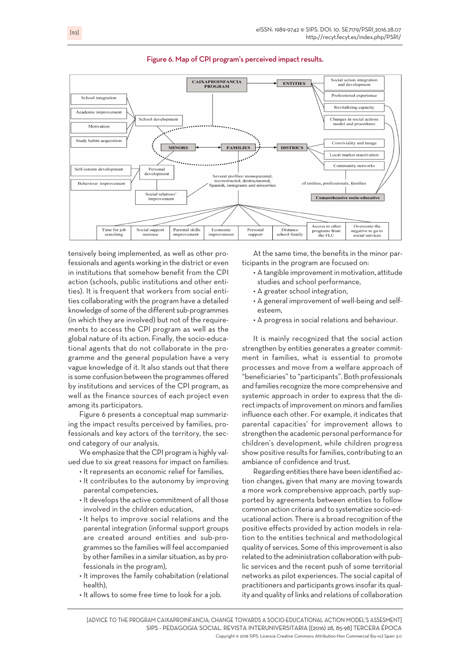

#### Figure 6. Map of CPI program's perceived impact results.

tensively being implemented, as well as other professionals and agents working in the district or even in institutions that somehow benefit from the CPI action (schools, public institutions and other entities). It is frequent that workers from social entities collaborating with the program have a detailed knowledge of some of the different sub-programmes (in which they are involved) but not of the requirements to access the CPI program as well as the global nature of its action. Finally, the socio-educational agents that do not collaborate in the programme and the general population have a very vague knowledge of it. It also stands out that there is some confusion between the programmes offered by institutions and services of the CPI program, as well as the finance sources of each project even among its participators.

Figure 6 presents a conceptual map summarizing the impact results perceived by families, professionals and key actors of the territory, the second category of our analysis.

We emphasize that the CPI program is highly valued due to six great reasons for impact on families:

- It represents an economic relief for families,
- It contributes to the autonomy by improving parental competencies,
- It develops the active commitment of all those involved in the children education,
- It helps to improve social relations and the parental integration (informal support groups are created around entities and sub-programmes so the families will feel accompanied by other families in a similar situation, as by professionals in the program),
- It improves the family cohabitation (relational health),
- It allows to some free time to look for a job.

At the same time, the benefits in the minor participants in the program are focused on:

- A tangible improvement in motivation, attitude studies and school performance,
- A greater school integration,
- A general improvement of well-being and selfesteem,
- A progress in social relations and behaviour.

It is mainly recognized that the social action strengthen by entities generates a greater commitment in families, what is essential to promote processes and move from a welfare approach of "beneficiaries"to "participants". Both professionals and families recognize the more comprehensive and systemic approach in order to express that the directimpacts of improvement on minors and families influence each other. For example, it indicates that parental capacities' for improvement allows to strengthen the academic personal performance for children's development, while children progress show positive results for families, contributing to an ambiance of confidence and trust.

Regarding entities there have been identified action changes, given that many are moving towards a more work comprehensive approach, partly supported by agreements between entities to follow common action criteria and to systematize socio-educational action. There is a broad recognition of the positive effects provided by action models in relation to the entities technical and methodological quality of services. Some of this improvement is also related to the administration collaboration with public services and the recent push of some territorial networks as pilot experiences. The social capital of practitioners and participants grows insofarits quality and quality of links and relations of collaboration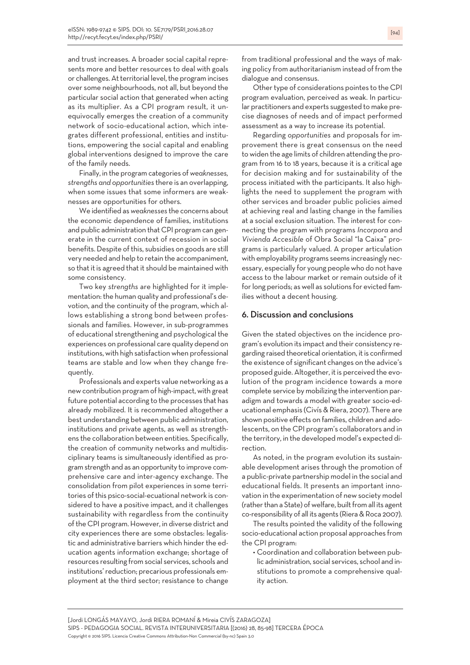and trust increases. A broader social capital represents more and better resources to deal with goals or challenges. At territorial level, the program incises over some neighbourhoods, not all, but beyond the particular social action that generated when acting as its multiplier. As a CPI program result, it unequivocally emerges the creation of a community network of socio-educational action, which integrates different professional, entities and institutions, empowering the social capital and enabling global interventions designed to improve the care of the family needs.

Finally, in the program categories of*weaknesses, strengths and opportunities* there is an overlapping, when some issues that some informers are weaknesses are opportunities for others.

We identified as*weaknesses* the concerns about the economic dependence of families, institutions and public administration that CPI program can generate in the current context of recession in social benefits. Despite of this, subsidies on goods are still very needed and help to retain the accompaniment, so that it is agreed that it should be maintained with some consistency.

Two key *strengths* are highlighted for it implementation: the human quality and professional's devotion, and the continuity of the program, which allows establishing a strong bond between professionals and families. However, in sub-programmes of educational strengthening and psychological the experiences on professional care quality depend on institutions, with high satisfaction when professional teams are stable and low when they change frequently.

Professionals and experts value networking as a new contribution program of high-impact, with great future potential according to the processes that has already mobilized. It is recommended altogether a best understanding between public administration, institutions and private agents, as well as strengthens the collaboration between entities. Specifically, the creation of community networks and multidisciplinary teams is simultaneously identified as programstrength and as an opportunity to improve comprehensive care and inter-agency exchange. The consolidation from pilot experiences in some territories ofthis psico-social-ecuational network is considered to have a positive impact, and it challenges sustainability with regardless from the continuity of the CPI program. However, in diverse district and city experiences there are some obstacles: legalistic and administrative barriers which hinder the education agents information exchange; shortage of resources resulting from social services, schools and institutions'reduction; precarious professionals employment at the third sector; resistance to change from traditional professional and the ways of making policy from authoritarianism instead of from the dialogue and consensus.

Other type of considerations pointes to the CPI program evaluation, perceived as weak. In particular practitioners and experts suggested to make precise diagnoses of needs and of impact performed assessment as a way to increase its potential.

Regarding *opportunities* and proposals for improvement there is great consensus on the need towiden the age limits of children attending the program from 16 to 18 years, because it is a critical age for decision making and for sustainability of the process initiated with the participants. It also highlights the need to supplement the program with other services and broader public policies aimed at achieving real and lasting change in the families at a social exclusion situation. The interest for connecting the program with programs *Incorpora* and *Vivienda Accesible* of Obra Social "la Caixa" programs is particularly valued. A proper articulation with employability programs seems increasingly necessary, especially for young peoplewho do not have access to the labour market or remain outside of it for long periods; as well as solutions for evicted families without a decent housing.

## 6. Discussion and conclusions

Given the stated objectives on the incidence program's evolution its impact and their consistency regarding raised theoretical orientation, it is confirmed the existence of significant changes on the advice's proposed guide. Altogether, it is perceived the evolution of the program incidence towards a more complete service by mobilizing the intervention paradigm and towards a model with greater socio-educational emphasis (Civís & Riera, 2007). There are shown positive effects on families, children and adolescents, on the CPI program's collaborators and in the territory, in the developed model's expected direction.

As noted, in the program evolution its sustainable development arises through the promotion of a public-private partnership model in the social and educational fields. It presents an important innovation in the experimentation of newsociety model (rather than a State) of welfare, built from all its agent co-responsibility of all its agents (Riera&Roca 2007).

The results pointed the validity of the following socio-educational action proposal approaches from the CPI program:

• Coordination and collaboration between public administration, social services, school and institutions to promote a comprehensive quality action.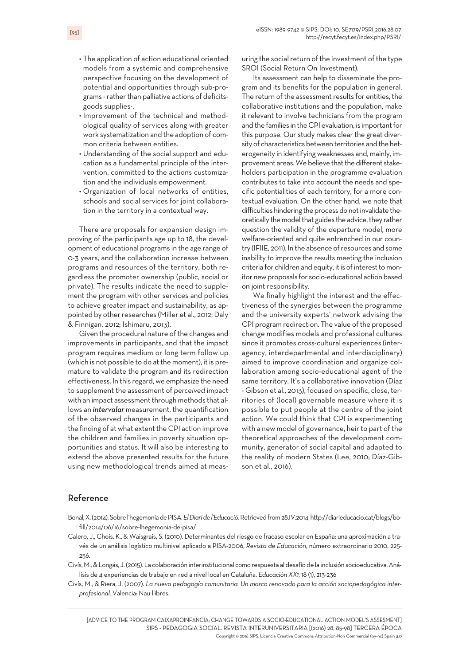- The application of action educational oriented models from a systemic and comprehensive perspective focusing on the development of potential and opportunities through sub-programs - rather than palliative actions of deficitsgoods supplies-.
- Improvement of the technical and methodological quality of services along with greater work systematization and the adoption of common criteria between entities.
- Understanding of the social support and education as a fundamental principle of the intervention, committed to the actions customization and the individuals empowerment.
- Organization of local networks of entities, schools and social services for joint collaboration in the territory in a contextual way.

There are proposals for expansion design improving of the participants age up to 18, the development of educational programs in the age range of 0-3 years, and the collaboration increase between programs and resources of the territory, both regardless the promoter ownership (public, social or private). The results indicate the need to supplement the program with other services and policies to achieve greater impact and sustainability, as appointed by other researches (Miller et al., 2012; Daly & Finnigan, 2012; Ishimaru, 2013).

Given the procedural nature of the changes and improvements in participants, and that the impact program requires medium or long term follow up (which is not possible to do at the moment), it is premature to validate the program and its redirection effectiveness. In this regard, we emphasize the need to supplement the assessment of *perceived* impact with an impact assessment through methods that allows an *intervalar* measurement, the quantification of the observed changes in the participants and the finding of at what extent the CPI action improve the children and families in poverty situation opportunities and status. It will also be interesting to extend the above presented results for the future using new methodological trends aimed at measuring the social return of the investment of the type SROI (Social Return On Investment).

Its assessment can help to disseminate the program and its benefits for the population in general. The return of the assessment results for entities, the collaborative institutions and the population, make it relevant to involve technicians from the program and the families in the CPI evaluation, is important for this purpose. Our study makes clear the great diversity of characteristics between territories and the heterogeneity in identifying weaknesses and, mainly, improvement areas. We believe that the different stakeholders participation in the programme evaluation contributes to take into account the needs and specific potentialities of each territory, for a more contextual evaluation. On the other hand, we note that difficulties hindering the process do not invalidate theoretically the model that guides the advice, they rather question the validity of the departure model, more welfare-oriented and quite entrenched in our country (IFIIE, 2011). In the absence of resources and some inability to improve the results meeting the inclusion criteria for children and equity, it is of interest to monitor new proposals for socio-educational action based on joint responsibility.

We finally highlight the interest and the effectiveness of the synergies between the programme and the university experts' network advising the CPI program redirection. The value of the proposed change modifies models and professional cultures since it promotes cross-cultural experiences (interagency, interdepartmental and interdisciplinary) aimed to improve coordination and organize collaboration among socio-educational agent of the same territory. It's a collaborative innovation (Díaz - Gibson et al., 2013), focused on specific, close, territories of (local) governable measure where it is possible to put people at the centre of the joint action. We could think that CPI is experimenting with a new model of governance, heir to part of the theoretical approaches of the development community, generator of social capital and adapted to the reality of modern States (Lee, 2010; Díaz-Gibson et al., 2016).

# Reference

- Bonal,X.(2014).Sobrel'hegemoniadePISA.*ElDiaridel'Educació*.Retrievedfrom28.IV.2014 http://diarieducacio.cat/blogs/bofill/2014/06/16/sobre-lhegemonia-de-pisa/
- Calero, J., Chois, K., & Waisgrais, S. (2010). Determinantes del riesgo de fracaso escolar en España: una aproximación a través de un análisis logístico multinivel aplicado a PISA-2006, *Revista de Educación*, número extraordinario 2010, 225- 256.
- Civís,M.,&Longás, J.(2015).La colaboracióninterinstitucional comorespuesta aldesafíodela inclusiónsocioeducativa.Análisis de 4 experiencias de trabajo en red a nivel local en Cataluña. *Educación XX1,* 18 (1), 213-236
- Civís, M., & Riera, J. (2007). *La nueva pedagogía comunitaria. Un marco renovado para la acción sociopedagógica interprofesional.* Valencia: Nau llibres.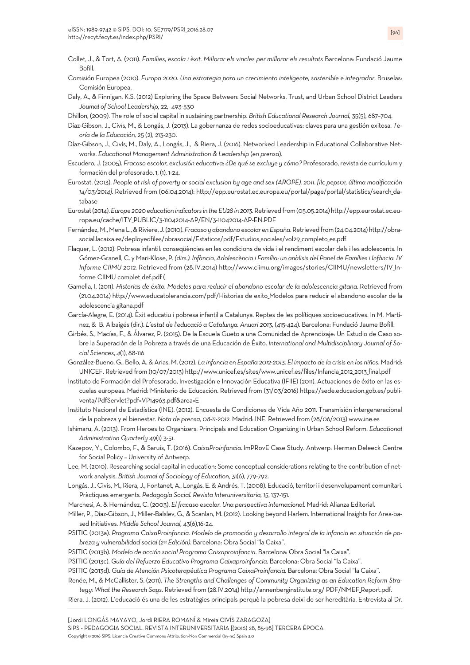- Collet, J., & Tort, A. (2011). *Famílies, escola i èxit. Millorar els vincles per millorar els resultats* Barcelona: Fundació Jaume Bofill.
- Comisión Europea (2010). *Europa 2020. Una estrategia para un crecimiento inteligente, sostenible e integrador*. Bruselas: Comisión Europea.
- Daly, A., & Finnigan, K.S. (2012) Exploring the Space Between: Social Networks, Trust, and Urban School District Leaders *Joumal of School Leadership*, 22, 493-530

Dhillon, (2009). The role of social capital in sustaining partnership. *British Educational Research Journal,* 35(5), 687–704.

- Díaz-Gibson, J., Civís, M., & Longás, J. (2013). La gobernanza de redes socioeducativas: claves para una gestión exitosa. *Teoría de la Educación,* 25 (2), 213-230.
- Díaz-Gibson, J., Civís, M., Daly, A., Longás, J., & Riera, J. (2016). Networked Leadership in Educational Collaborative Networks. *Educational Management Administration & Leadership* (*en prensa*).
- Escudero, J. (2005). *Fracaso escolar, exclusión educativa: ¿De qué se excluye y cómo?* Profesorado,revista de currículum y formación del profesorado, 1, (1), 1-24.
- Eurostat. (2013). People at risk of poverty or social exclusion by age and sex (AROPE). 2011. [ilc\_peps01, última modificación *14/03/2014].* Retrieved from (06.04.2014): http://epp.eurostat.ec.europa.eu/portal/page/portal/statistics/search\_database
- Eurostat(2014).*Europe2020educationindicators intheEU28in2013*.Retrievedfrom(05.05.2014)http://epp.eurostat.ec.europa.eu/cache/ITY\_PUBLIC/3-11042014-AP/EN/3-11042014-AP-EN.PDF
- Fernández,M.,MenaL.,&Riviere, J.(2010).*FracasoyabandonoescolarenEspaña*.Retrievedfrom(24.04.2014)http://obrasocial.lacaixa.es/deployedfiles/obrasocial/Estaticos/pdf/Estudios sociales/vol29 completo es.pdf
- Flaquer, L. (2012). Pobresa infantil: conseqüències en les condicions de vida i el rendiment escolar dels i les adolescents. In Gómez-Granell, C. y Mari-Klose, P. (dirs.). Infància, Adolescència i Família: un anàlisis del Panel de Famílies i Infància. IV *Informe CIIMU 2012.* Retrieved from (28.IV.2014) http://www.ciimu.org/images/stories/CIIMU/newsletters/IV\_Informe\_CIIMU\_complet\_def.pdf (
- Gamella, I. (2011). *Historias de éxito. Modelos para reducir el abandono escolar de la adolescencia gitana*. Retrieved from (21.04.2014) http://www.educatolerancia.com/pdf/Historias de exito\_Modelos para reducir el abandono escolar de la adolescencia gitana.pdf
- García-Alegre, E. (2014). Èxit educatiu i pobresa infantil a Catalunya. Reptes de les polítiques socioeducatives. In M. Martínez, & B. Albaigés (dir.). *L'estat de l'educació a Catalunya. Anuari 2013*, (415-424). Barcelona: Fundació Jaume Bofill.
- Girbés, S., Macías, F., & Álvarez, P. (2015). De la Escuela Gueto a una Comunidad de Aprendizaje: Un Estudio de Caso sobre la Superación de la Pobreza a través de una Educación de Éxito. *International and Multidisciplinary Journal of Social Sciences*, *4*(1), 88-116
- González-Bueno, G., Bello, A. & Arias, M. (2012). *La infancia en España 2012-2013. El impacto de la crisis en los niños*. Madrid: UNICEF. Retrieved from (10/07/2013) http://www.unicef.es/sites/www.unicef.es/files/Infancia\_2012\_2013\_final.pdf
- Instituto de Formación del Profesorado, Investigación e Innovación Educativa (IFIIE) (2011). Actuaciones de éxito en las escuelas europeas. Madrid: Ministerio de Educación. Retrieved from (31/03/2016) https://sede.educacion.gob.es/publiventa/PdfServlet?pdf=VP14963.pdf&area=E
- Instituto Nacional de Estadística (INE). (2012). Encuesta de Condiciones de Vida Año 2011. Transmisión intergeneracional de la pobreza y el bienestar*. Nota de prensa, 08-11-2012*. Madrid: INE. Retrieved from (28/06/2013) www.ine.es
- Ishimaru, A. (2013). From Heroes to Organizers: Principals and Education Organizing in Urban School Reform. *Educational Administration Quarterly* 49(1) 3-51.
- Kazepov, Y., Colombo, F., & Saruis, T. (2016). *CaixaProinfancia*. ImPRovE Case Study. Antwerp: Herman Deleeck Centre for Social Policy – University of Antwerp.
- Lee, M. (2010). Researching social capital in education: Some conceptual considerations relating to the contribution of network analysis. *British Journal of Sociology of Education*, 31(6), 779-792.
- Longás, J., Civís, M., Riera, J., Fontanet, A., Longás, E. & Andrés, T. (2008). Educació,territori i desenvolupament comunitari. Pràctiques emergents*. Pedagogía Social. Revista Interuniversitaria, 15*, 137-151.
- Marchesi, A. & Hernández, C. (2003). *El fracaso escolar. Una perspectiva internacional*. Madrid: Alianza Editorial.
- Miller, P.,Díaz-Gibson, J., Miller-Balslev, G., & Scanlan, M. (2012). Looking beyondHarlem. International Insights for Area-based Initiatives. *Middle School Journal,* 43(6),16-24.
- PSITIC (2013a). Programa CaixaProinfancia. Modelo de promoción y desarrollo integral de la infancia en situación de po*breza y vulnerabilidad social (2ª Edición)*. Barcelona: Obra Social "la Caixa".
- PSITIC (2013b). *Modelo de acción social Programa Caixaproinfancia*. Barcelona: Obra Social "la Caixa".
- PSITIC (2013c). *Guía del Refuerzo Educativo Programa Caixaproinfancia*. Barcelona: Obra Social "la Caixa".
- PSITIC (2013d). *Guía de Atención Psicoterapéutica Programa CaixaProinfancia*. Barcelona: Obra Social "la Caixa".
- Renée, M., & McCallister, S. (2011). *The Strengths and Challenges of Community Organizing as an Education Reform Strategy: What the Research Says*. Retrieved from (28.IV.2014) http://annenberginstitute.org/ PDF/NMEF\_Report.pdf.
- Riera, J. (2012). L'educació és una de les estratègies principals perquè la pobresa deixi de ser hereditària. Entrevista al Dr.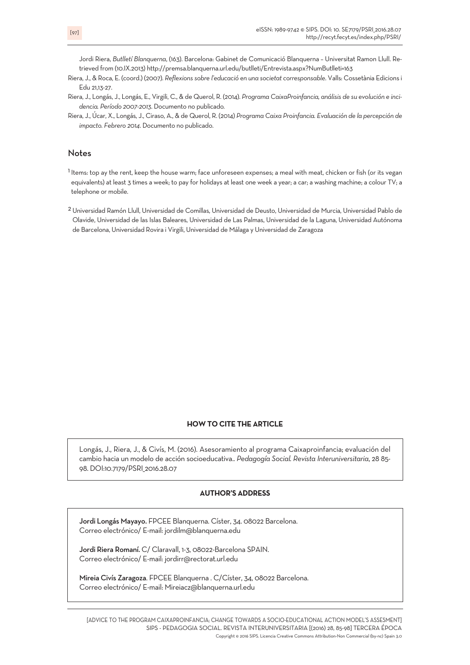Jordi Riera, *Butlletí Blanquerna*, (163). Barcelona: Gabinet de Comunicació Blanquerna – Universitat Ramon Llull. Retrieved from (10.IX.2013) http://premsa.blanquerna.url.edu/butlleti/Entrevista.aspx?NumButlleti=163

- Riera, J., & Roca, E. (coord.) (2007). *Reflexions sobre l'educació en una societat corresponsable*. Valls: Cossetània Edicions i Edu 21,13-27.
- Riera, J., Longás, J., Longás, E., Virgili, C., & de Querol, R. (2014). *Programa CaixaProinfancia, análisis de su evolución e incidencia. Período 2007-2013*. Documento no publicado*.*
- Riera, J., Úcar, X., Longás, J., Ciraso, A., & de Querol, R. (2014) *Programa Caixa Proinfancia. Evaluación de la percepción de impacto. Febrero 2014*. Documento no publicado.

# Notes

<sup>1</sup> Items: top ay the rent, keep the house warm; face unforeseen expenses; a meal with meat, chicken or fish (or its vegan equivalents) at least 3 times a week; to pay for holidays at least one week a year; a car; a washing machine; a colour TV; a telephone or mobile.

2 Universidad Ramón Llull, Universidad de Comillas, Universidad de Deusto, Universidad de Murcia, Universidad Pablo de Olavide, Universidad de las Islas Baleares, Universidad de Las Palmas, Universidad de la Laguna, Universidad Autónoma de Barcelona, Universidad Rovira i Virgili, Universidad de Málaga y Universidad de Zaragoza

## **HOW TO CITE THE ARTICLE**

Longás, J., Riera, J., & Civís, M. (2016). Asesoramiento al programa Caixaproinfancia; evaluación del cambio hacia un modelo de acción socioeducativa.. *Pedagogía Social. Revista Interuniversitaria*, 28 85- 98. DOI:10.7179/PSRI\_2016.28.07

#### **AUTHOR'S ADDRESS**

Jordi Longás Mayayo. FPCEE Blanquerna. Císter, 34. 08022 Barcelona. Correo electrónico/ E-mail: jordilm@blanquerna.edu

Jordi Riera Romaní. C/ Claravall, 1-3, 08022-Barcelona SPAIN. Correo electrónico/ E-mail: jordirr@rectorat.url.edu

Mireia Civís Zaragoza. FPCEE Blanquerna . C/Císter, 34, 08022 Barcelona. Correo electrónico/ E-mail: Mireiacz@blanquerna.url.edu